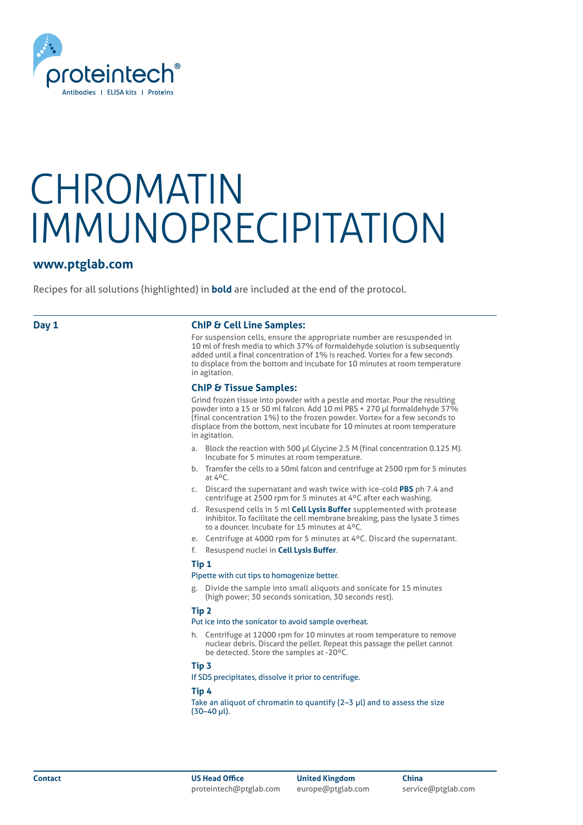

### **www.ptglab.com**

Recipes for all solutions (highlighted) in **bold** are included at the end of the protocol.

### **Day 1 ChIP & Cell Line Samples:**

For suspension cells, ensure the appropriate number are resuspended in 10 ml of fresh media to which 37% of formaldehyde solution is subsequently added until a final concentration of 1% is reached. Vortex for a few seconds to displace from the bottom and incubate for 10 minutes at room temperature in agitation.

### **ChIP & Tissue Samples:**

Grind frozen tissue into powder with a pestle and mortar. Pour the resulting powder into a 15 or 50 ml falcon. Add 10 ml PBS + 270 μl formaldehyde 37% (final concentration 1%) to the frozen powder. Vortex for a few seconds to displace from the bottom, next incubate for 10 minutes at room temperature in agitation.

- a. Block the reaction with 500 μl Glycine 2.5 M (final concentration 0.125 M). Incubate for 5 minutes at room temperature.
- b. Transfer the cells to a 50ml falcon and centrifuge at 2500 rpm for 5 minutes at 4ºC.
- c. Discard the supernatant and wash twice with ice-cold **PBS** ph 7.4 and centrifuge at 2500 rpm for 5 minutes at 4ºC after each washing.
- d. Resuspend cells in 5 ml **Cell Lysis Buffer** supplemented with protease inhibitor. To facilitate the cell membrane breaking, pass the lysate 3 times to a douncer. Incubate for 15 minutes at 4ºC.
- e. Centrifuge at 4000 rpm for 5 minutes at 4ºC. Discard the supernatant.

f. Resuspend nuclei in **Cell Lysis Buffer**.

### **Tip 1**

### Pipette with cut tips to homogenize better.

g. Divide the sample into small aliquots and sonicate for 15 minutes (high power; 30 seconds sonication, 30 seconds rest).

### **Tip 2**

### Put ice into the sonicator to avoid sample overheat.

Centrifuge at 12000 rpm for 10 minutes at room temperature to remove nuclear debris. Discard the pellet. Repeat this passage the pellet cannot be detected. Store the samples at -20ºC.

### **Tip 3**

If SDS precipitates, dissolve it prior to centrifuge.

### **Tip 4**

Take an aliquot of chromatin to quantify (2–3 μl) and to assess the size (30–40 μl).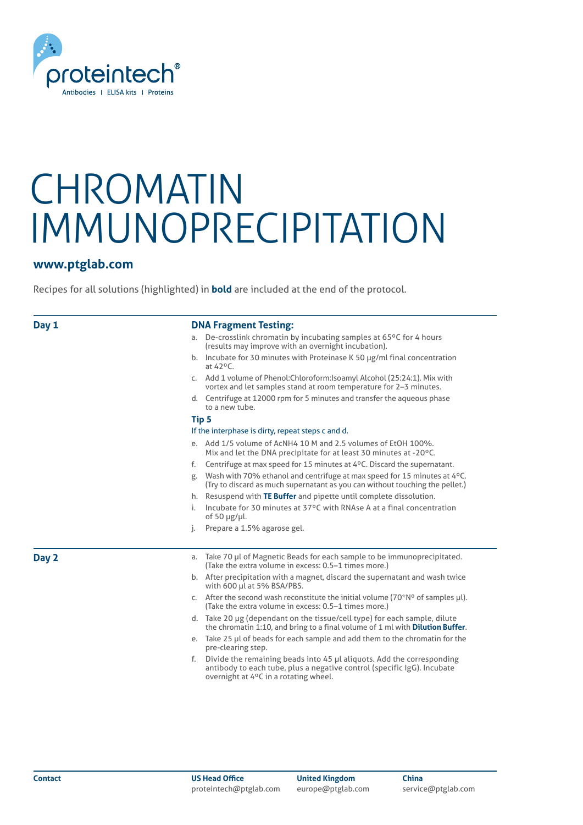

## **www.ptglab.com**

Recipes for all solutions (highlighted) in **bold** are included at the end of the protocol.

| <b>DNA Fragment Testing:</b><br>Day 1 |                                                                                                                                                                                                 |
|---------------------------------------|-------------------------------------------------------------------------------------------------------------------------------------------------------------------------------------------------|
|                                       | De-crosslink chromatin by incubating samples at 65°C for 4 hours<br>а.<br>(results may improve with an overnight incubation).                                                                   |
|                                       | b. Incubate for 30 minutes with Proteinase K 50 $\mu$ g/ml final concentration<br>at 42°C.                                                                                                      |
|                                       | c. Add 1 volume of Phenol: Chloroform: Isoamyl Alcohol (25:24:1). Mix with<br>vortex and let samples stand at room temperature for 2-3 minutes.                                                 |
|                                       | d. Centrifuge at 12000 rpm for 5 minutes and transfer the aqueous phase<br>to a new tube.                                                                                                       |
|                                       | Tip 5                                                                                                                                                                                           |
|                                       | If the interphase is dirty, repeat steps c and d.                                                                                                                                               |
|                                       | e. Add 1/5 volume of AcNH4 10 M and 2.5 volumes of EtOH 100%.<br>Mix and let the DNA precipitate for at least 30 minutes at -20°C.                                                              |
|                                       | Centrifuge at max speed for 15 minutes at 4°C. Discard the supernatant.<br>f.                                                                                                                   |
|                                       | Wash with 70% ethanol and centrifuge at max speed for 15 minutes at 4°C.<br>g.<br>(Try to discard as much supernatant as you can without touching the pellet.)                                  |
|                                       | h. Resuspend with TE Buffer and pipette until complete dissolution.                                                                                                                             |
|                                       | Incubate for 30 minutes at 37°C with RNAse A at a final concentration<br>i.<br>of 50 $\mu$ g/ $\mu$ l.                                                                                          |
|                                       | Prepare a 1.5% agarose gel.<br>j.                                                                                                                                                               |
| Day 2                                 | Take 70 µl of Magnetic Beads for each sample to be immunoprecipitated.<br>a.<br>(Take the extra volume in excess: 0.5–1 times more.)                                                            |
|                                       | b. After precipitation with a magnet, discard the supernatant and wash twice<br>with 600 µl at 5% BSA/PBS.                                                                                      |
|                                       | c. After the second wash reconstitute the initial volume ( $70*$ N° of samples $\mu$ l).<br>(Take the extra volume in excess: 0.5–1 times more.)                                                |
|                                       | d. Take 20 µg (dependant on the tissue/cell type) for each sample, dilute<br>the chromatin 1:10, and bring to a final volume of 1 ml with <b>Dilution Buffer</b> .                              |
|                                       | e. Take 25 µl of beads for each sample and add them to the chromatin for the<br>pre-clearing step.                                                                                              |
|                                       | Divide the remaining beads into 45 µl aliquots. Add the corresponding<br>f.<br>antibody to each tube, plus a negative control (specific IgG). Incubate<br>overnight at 4°C in a rotating wheel. |
|                                       |                                                                                                                                                                                                 |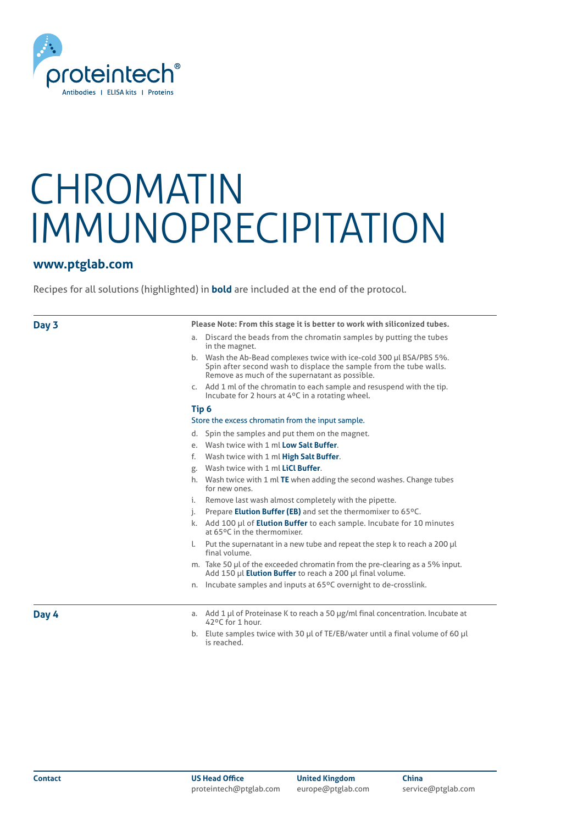

### **www.ptglab.com**

Recipes for all solutions (highlighted) in **bold** are included at the end of the protocol.

### **Day 3**

**Please Note: From this stage it is better to work with siliconized tubes.**

- a. Discard the beads from the chromatin samples by putting the tubes in the magnet.
- b. Wash the Ab-Bead complexes twice with ice-cold 300 μl BSA/PBS 5%. Spin after second wash to displace the sample from the tube walls. Remove as much of the supernatant as possible.
- c. Add 1 ml of the chromatin to each sample and resuspend with the tip. Incubate for 2 hours at 4ºC in a rotating wheel.

### **Tip 6**

### Store the excess chromatin from the input sample.

- d. Spin the samples and put them on the magnet.
- e. Wash twice with 1 ml **Low Salt Buffer**.
- f. Wash twice with 1 ml **High Salt Buffer**.
- g. Wash twice with 1 ml **LiCl Buffer**.
- h. Wash twice with 1 ml **TE** when adding the second washes. Change tubes for new ones.
- Remove last wash almost completely with the pipette.
- j. Prepare **Elution Buffer (EB)** and set the thermomixer to 65ºC.
- k. Add 100 μl of **Elution Buffer** to each sample. Incubate for 10 minutes at 65ºC in the thermomixer.
- l. Put the supernatant in a new tube and repeat the step k to reach a 200 μl final volume.
- m. Take 50 μl of the exceeded chromatin from the pre-clearing as a 5% input. Add 150 μl **Elution Buffer** to reach a 200 μl final volume.
- n. Incubate samples and inputs at 65ºC overnight to de-crosslink.

**Day 4**

- a. Add 1 μl of Proteinase K to reach a 50 μg/ml final concentration. Incubate at 42ºC for 1 hour.
- b. Elute samples twice with 30 μl of TE/EB/water until a final volume of 60 μl is reached.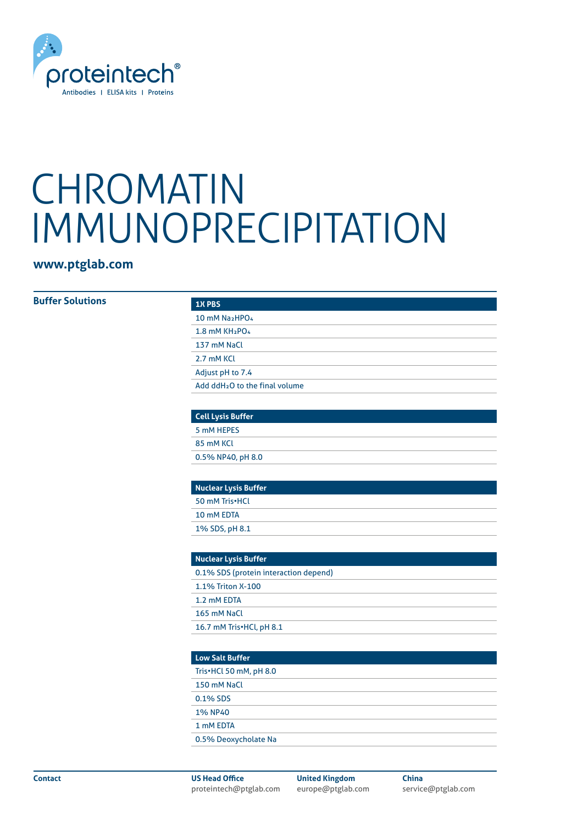

# **www.ptglab.com**

### **Buffer Solutions**

| <b>1X PBS</b>                              |  |
|--------------------------------------------|--|
| 10 mM Na <sub>2</sub> HPO <sub>4</sub>     |  |
| $1.8$ mM KH <sub>2</sub> PO <sub>4</sub>   |  |
| 137 mM NaCl                                |  |
| 2.7 mM KCL                                 |  |
| Adjust pH to 7.4                           |  |
| Add ddH <sub>2</sub> O to the final volume |  |

| <b>Cell Lysis Buffer</b> |  |
|--------------------------|--|
| 5 mM HEPES               |  |
| 85 mM KCL                |  |
| 0.5% NP40, pH 8.0        |  |

| <b>Nuclear Lysis Buffer</b> |  |
|-----------------------------|--|
| 50 mM Tris•HCL              |  |
| 10 mM EDTA                  |  |
| 1% SDS, pH 8.1              |  |

| <b>Nuclear Lysis Buffer</b>           |  |
|---------------------------------------|--|
| 0.1% SDS (protein interaction depend) |  |
| 1.1% Triton X-100                     |  |
| 1.2 mM EDTA                           |  |
| 165 mM NaCl                           |  |
| 16.7 mM Tris•HCl, pH 8.1              |  |

| <b>Low Salt Buffer</b> |
|------------------------|
| Tris•HCl 50 mM, pH 8.0 |
| 150 mM NaCl            |
| 0.1% SDS               |
| <b>1% NP40</b>         |
| 1 mM EDTA              |
| 0.5% Deoxycholate Na   |